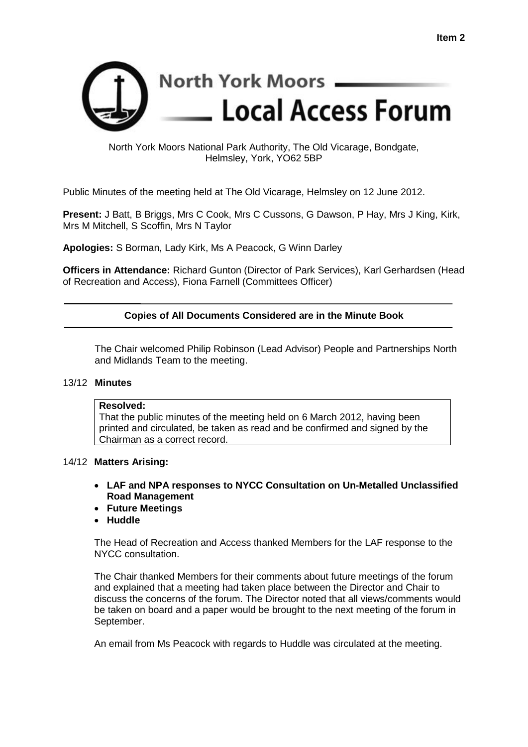

# North York Moors National Park Authority, The Old Vicarage, Bondgate, Helmsley, York, YO62 5BP

Public Minutes of the meeting held at The Old Vicarage, Helmsley on 12 June 2012.

**Present:** J Batt, B Briggs, Mrs C Cook, Mrs C Cussons, G Dawson, P Hay, Mrs J King, Kirk, Mrs M Mitchell, S Scoffin, Mrs N Taylor

**Apologies:** S Borman, Lady Kirk, Ms A Peacock, G Winn Darley

**Officers in Attendance:** Richard Gunton (Director of Park Services), Karl Gerhardsen (Head of Recreation and Access), Fiona Farnell (Committees Officer)

# **Copies of All Documents Considered are in the Minute Book**

The Chair welcomed Philip Robinson (Lead Advisor) People and Partnerships North and Midlands Team to the meeting.

# 13/12 **Minutes**

## **Resolved:**

That the public minutes of the meeting held on 6 March 2012, having been printed and circulated, be taken as read and be confirmed and signed by the Chairman as a correct record.

# 14/12 **Matters Arising:**

- **LAF and NPA responses to NYCC Consultation on Un-Metalled Unclassified Road Management**
- **Future Meetings**
- **Huddle**

The Head of Recreation and Access thanked Members for the LAF response to the NYCC consultation.

The Chair thanked Members for their comments about future meetings of the forum and explained that a meeting had taken place between the Director and Chair to discuss the concerns of the forum. The Director noted that all views/comments would be taken on board and a paper would be brought to the next meeting of the forum in September.

An email from Ms Peacock with regards to Huddle was circulated at the meeting.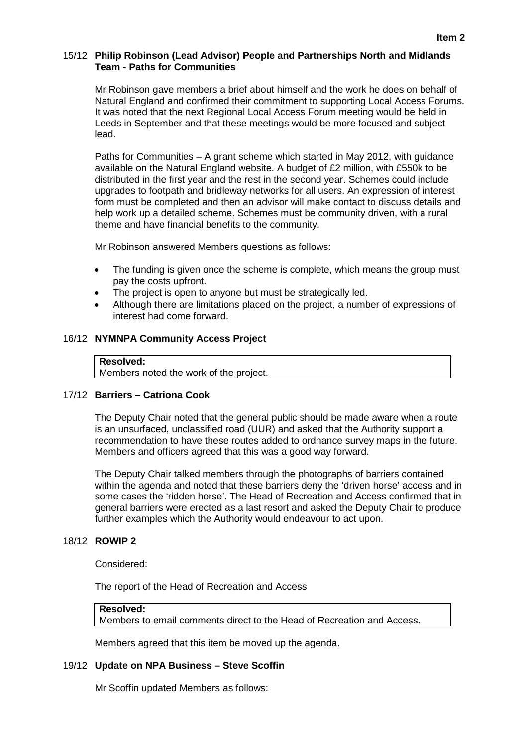# 15/12 **Philip Robinson (Lead Advisor) People and Partnerships North and Midlands Team - Paths for Communities**

Mr Robinson gave members a brief about himself and the work he does on behalf of Natural England and confirmed their commitment to supporting Local Access Forums. It was noted that the next Regional Local Access Forum meeting would be held in Leeds in September and that these meetings would be more focused and subject lead.

Paths for Communities – A grant scheme which started in May 2012, with guidance available on the Natural England website. A budget of £2 million, with £550k to be distributed in the first year and the rest in the second year. Schemes could include upgrades to footpath and bridleway networks for all users. An expression of interest form must be completed and then an advisor will make contact to discuss details and help work up a detailed scheme. Schemes must be community driven, with a rural theme and have financial benefits to the community.

Mr Robinson answered Members questions as follows:

- The funding is given once the scheme is complete, which means the group must pay the costs upfront.
- The project is open to anyone but must be strategically led.
- Although there are limitations placed on the project, a number of expressions of interest had come forward.

# 16/12 **NYMNPA Community Access Project**

# **Resolved:** Members noted the work of the project.

# 17/12 **Barriers – Catriona Cook**

The Deputy Chair noted that the general public should be made aware when a route is an unsurfaced, unclassified road (UUR) and asked that the Authority support a recommendation to have these routes added to ordnance survey maps in the future. Members and officers agreed that this was a good way forward.

The Deputy Chair talked members through the photographs of barriers contained within the agenda and noted that these barriers deny the 'driven horse' access and in some cases the 'ridden horse'. The Head of Recreation and Access confirmed that in general barriers were erected as a last resort and asked the Deputy Chair to produce further examples which the Authority would endeavour to act upon.

## 18/12 **ROWIP 2**

Considered:

The report of the Head of Recreation and Access

## **Resolved:**

Members to email comments direct to the Head of Recreation and Access.

Members agreed that this item be moved up the agenda.

## 19/12 **Update on NPA Business – Steve Scoffin**

Mr Scoffin updated Members as follows: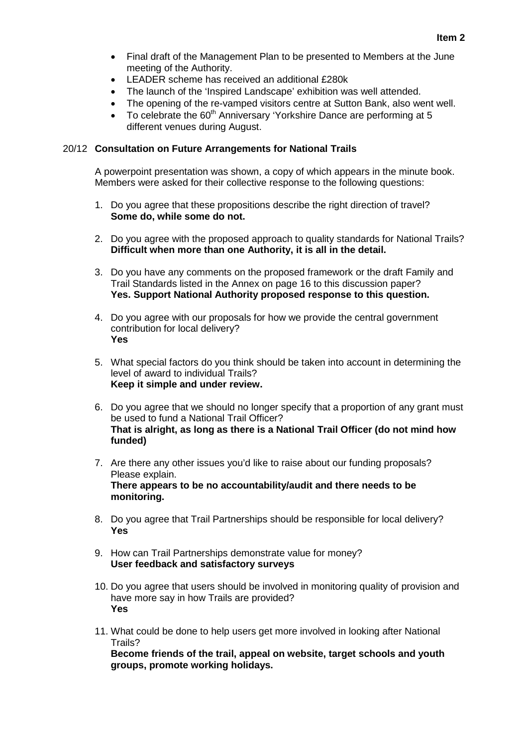- Final draft of the Management Plan to be presented to Members at the June meeting of the Authority.
- LEADER scheme has received an additional £280k
- The launch of the 'Inspired Landscape' exhibition was well attended.
- The opening of the re-vamped visitors centre at Sutton Bank, also went well.
- To celebrate the 60<sup>th</sup> Anniversary 'Yorkshire Dance are performing at 5 different venues during August.

## 20/12 **Consultation on Future Arrangements for National Trails**

A powerpoint presentation was shown, a copy of which appears in the minute book. Members were asked for their collective response to the following questions:

- 1. Do you agree that these propositions describe the right direction of travel? **Some do, while some do not.**
- 2. Do you agree with the proposed approach to quality standards for National Trails? **Difficult when more than one Authority, it is all in the detail.**
- 3. Do you have any comments on the proposed framework or the draft Family and Trail Standards listed in the Annex on page 16 to this discussion paper? **Yes. Support National Authority proposed response to this question.**
- 4. Do you agree with our proposals for how we provide the central government contribution for local delivery? **Yes**
- 5. What special factors do you think should be taken into account in determining the level of award to individual Trails? **Keep it simple and under review.**
- 6. Do you agree that we should no longer specify that a proportion of any grant must be used to fund a National Trail Officer? **That is alright, as long as there is a National Trail Officer (do not mind how funded)**
- 7. Are there any other issues you'd like to raise about our funding proposals? Please explain. **There appears to be no accountability/audit and there needs to be monitoring.**
- 8. Do you agree that Trail Partnerships should be responsible for local delivery? **Yes**
- 9. How can Trail Partnerships demonstrate value for money? **User feedback and satisfactory surveys**
- 10. Do you agree that users should be involved in monitoring quality of provision and have more say in how Trails are provided? **Yes**
- 11. What could be done to help users get more involved in looking after National Trails?

**Become friends of the trail, appeal on website, target schools and youth groups, promote working holidays.**